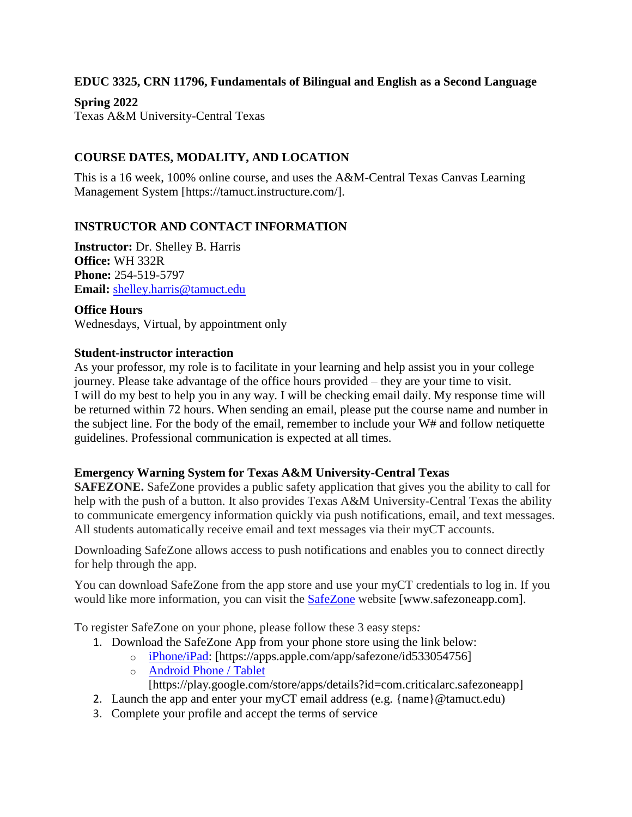#### **EDUC 3325, CRN 11796, Fundamentals of Bilingual and English as a Second Language**

**Spring 2022** Texas A&M University-Central Texas

## **COURSE DATES, MODALITY, AND LOCATION**

This is a 16 week, 100% online course, and uses the A&M-Central Texas Canvas Learning Management System [https://tamuct.instructure.com/].

### **INSTRUCTOR AND CONTACT INFORMATION**

**Instructor:** Dr. Shelley B. Harris **Office:** WH 332R **Phone:** 254-519-5797 **Email:** [shelley.harris@tamuct.edu](mailto:shelley.harris@tamuct.edu)

**Office Hours** Wednesdays, Virtual, by appointment only

#### **Student-instructor interaction**

As your professor, my role is to facilitate in your learning and help assist you in your college journey. Please take advantage of the office hours provided – they are your time to visit. I will do my best to help you in any way. I will be checking email daily. My response time will be returned within 72 hours. When sending an email, please put the course name and number in the subject line. For the body of the email, remember to include your W# and follow netiquette guidelines. Professional communication is expected at all times.

### **Emergency Warning System for Texas A&M University-Central Texas**

**SAFEZONE.** SafeZone provides a public safety application that gives you the ability to call for help with the push of a button. It also provides Texas A&M University-Central Texas the ability to communicate emergency information quickly via push notifications, email, and text messages. All students automatically receive email and text messages via their myCT accounts.

Downloading SafeZone allows access to push notifications and enables you to connect directly for help through the app.

You can download SafeZone from the app store and use your myCT credentials to log in. If you would like more information, you can visit the [SafeZone](http://www.safezoneapp.com/) website [www.safezoneapp.com].

To register SafeZone on your phone, please follow these 3 easy steps*:*

- 1. Download the SafeZone App from your phone store using the link below:
	- o [iPhone/iPad:](https://apps.apple.com/app/safezone/id533054756) [https://apps.apple.com/app/safezone/id533054756]
	- o [Android Phone / Tablet](https://play.google.com/store/apps/details?id=com.criticalarc.safezoneapp)

[https://play.google.com/store/apps/details?id=com.criticalarc.safezoneapp]

- 2. Launch the app and enter your myCT email address (e.g. {name}@tamuct.edu)
- 3. Complete your profile and accept the terms of service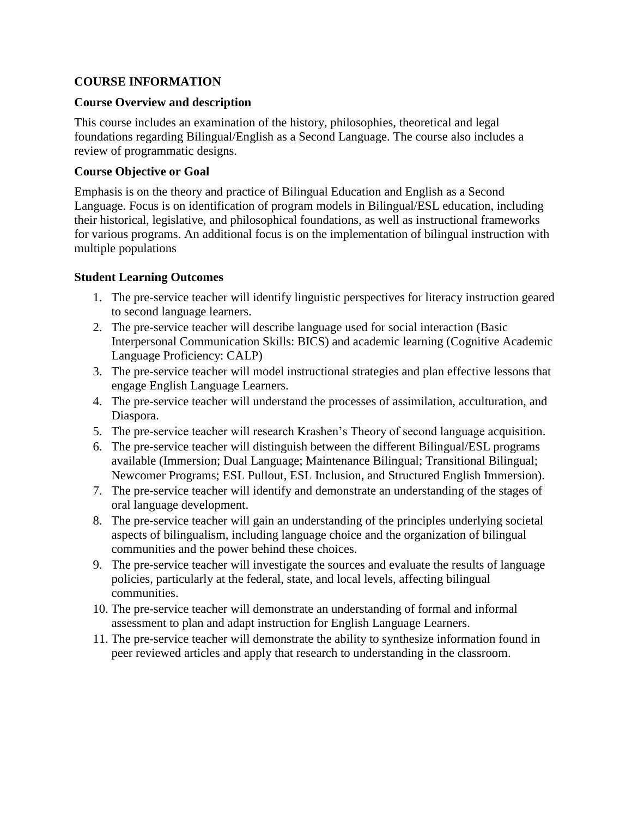## **COURSE INFORMATION**

#### **Course Overview and description**

This course includes an examination of the history, philosophies, theoretical and legal foundations regarding Bilingual/English as a Second Language. The course also includes a review of programmatic designs.

#### **Course Objective or Goal**

Emphasis is on the theory and practice of Bilingual Education and English as a Second Language. Focus is on identification of program models in Bilingual/ESL education, including their historical, legislative, and philosophical foundations, as well as instructional frameworks for various programs. An additional focus is on the implementation of bilingual instruction with multiple populations

### **Student Learning Outcomes**

- 1. The pre-service teacher will identify linguistic perspectives for literacy instruction geared to second language learners.
- 2. The pre-service teacher will describe language used for social interaction (Basic Interpersonal Communication Skills: BICS) and academic learning (Cognitive Academic Language Proficiency: CALP)
- 3. The pre-service teacher will model instructional strategies and plan effective lessons that engage English Language Learners.
- 4. The pre-service teacher will understand the processes of assimilation, acculturation, and Diaspora.
- 5. The pre-service teacher will research Krashen's Theory of second language acquisition.
- 6. The pre-service teacher will distinguish between the different Bilingual/ESL programs available (Immersion; Dual Language; Maintenance Bilingual; Transitional Bilingual; Newcomer Programs; ESL Pullout, ESL Inclusion, and Structured English Immersion).
- 7. The pre-service teacher will identify and demonstrate an understanding of the stages of oral language development.
- 8. The pre-service teacher will gain an understanding of the principles underlying societal aspects of bilingualism, including language choice and the organization of bilingual communities and the power behind these choices.
- 9. The pre-service teacher will investigate the sources and evaluate the results of language policies, particularly at the federal, state, and local levels, affecting bilingual communities.
- 10. The pre-service teacher will demonstrate an understanding of formal and informal assessment to plan and adapt instruction for English Language Learners.
- 11. The pre-service teacher will demonstrate the ability to synthesize information found in peer reviewed articles and apply that research to understanding in the classroom.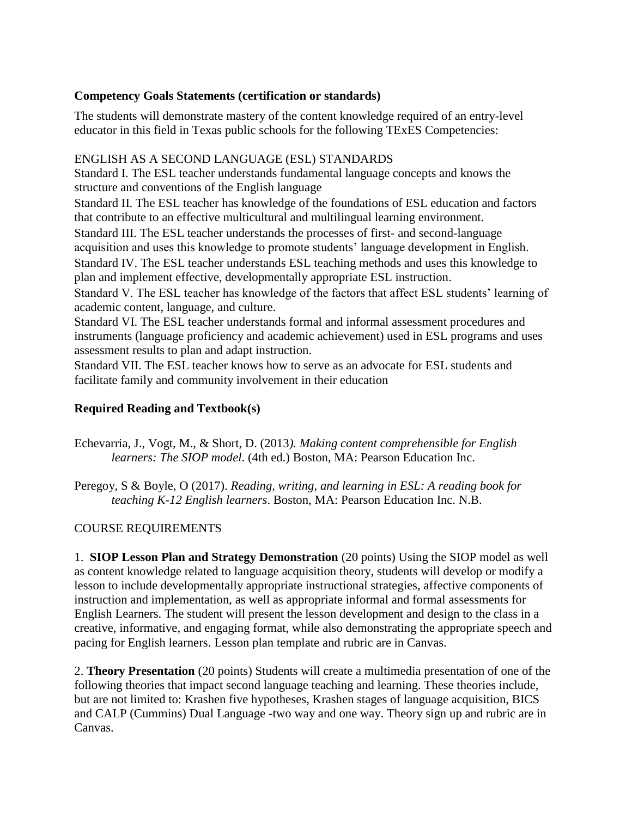## **Competency Goals Statements (certification or standards)**

The students will demonstrate mastery of the content knowledge required of an entry-level educator in this field in Texas public schools for the following TExES Competencies:

### ENGLISH AS A SECOND LANGUAGE (ESL) STANDARDS

Standard I. The ESL teacher understands fundamental language concepts and knows the structure and conventions of the English language

Standard II. The ESL teacher has knowledge of the foundations of ESL education and factors that contribute to an effective multicultural and multilingual learning environment.

Standard III. The ESL teacher understands the processes of first- and second-language acquisition and uses this knowledge to promote students' language development in English. Standard IV. The ESL teacher understands ESL teaching methods and uses this knowledge to plan and implement effective, developmentally appropriate ESL instruction.

Standard V. The ESL teacher has knowledge of the factors that affect ESL students' learning of academic content, language, and culture.

Standard VI. The ESL teacher understands formal and informal assessment procedures and instruments (language proficiency and academic achievement) used in ESL programs and uses assessment results to plan and adapt instruction.

Standard VII. The ESL teacher knows how to serve as an advocate for ESL students and facilitate family and community involvement in their education

## **Required Reading and Textbook(s)**

Echevarria, J., Vogt, M., & Short, D. (2013*). Making content comprehensible for English learners: The SIOP model*. (4th ed.) Boston, MA: Pearson Education Inc.

Peregoy, S & Boyle, O (2017). *Reading, writing, and learning in ESL: A reading book for teaching K-12 English learners*. Boston, MA: Pearson Education Inc. N.B.

### COURSE REQUIREMENTS

1.**SIOP Lesson Plan and Strategy Demonstration** (20 points) Using the SIOP model as well as content knowledge related to language acquisition theory, students will develop or modify a lesson to include developmentally appropriate instructional strategies, affective components of instruction and implementation, as well as appropriate informal and formal assessments for English Learners. The student will present the lesson development and design to the class in a creative, informative, and engaging format, while also demonstrating the appropriate speech and pacing for English learners. Lesson plan template and rubric are in Canvas.

2. **Theory Presentation** (20 points) Students will create a multimedia presentation of one of the following theories that impact second language teaching and learning. These theories include, but are not limited to: Krashen five hypotheses, Krashen stages of language acquisition, BICS and CALP (Cummins) Dual Language -two way and one way. Theory sign up and rubric are in Canvas.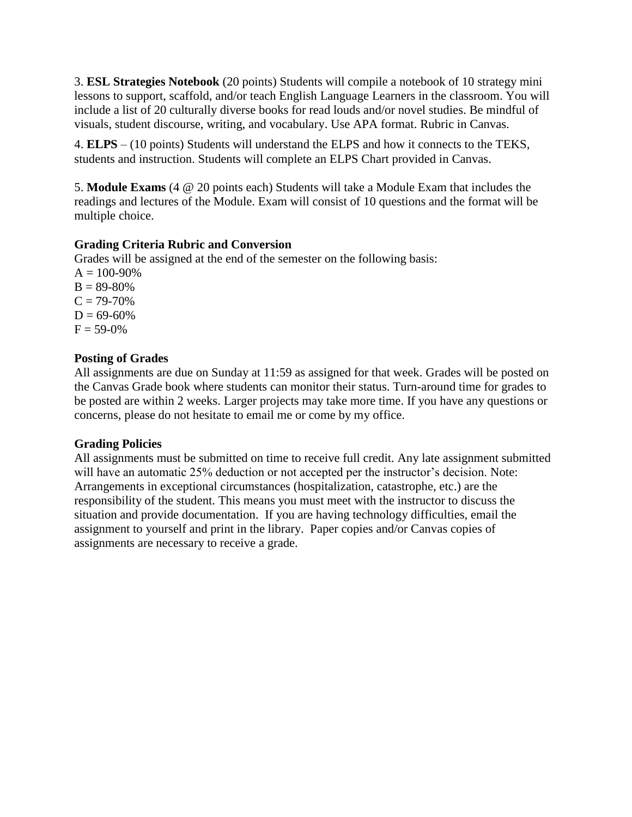3. **ESL Strategies Notebook** (20 points) Students will compile a notebook of 10 strategy mini lessons to support, scaffold, and/or teach English Language Learners in the classroom. You will include a list of 20 culturally diverse books for read louds and/or novel studies. Be mindful of visuals, student discourse, writing, and vocabulary. Use APA format. Rubric in Canvas.

4. **ELPS** – (10 points) Students will understand the ELPS and how it connects to the TEKS, students and instruction. Students will complete an ELPS Chart provided in Canvas.

5. **Module Exams** (4 @ 20 points each) Students will take a Module Exam that includes the readings and lectures of the Module. Exam will consist of 10 questions and the format will be multiple choice.

### **Grading Criteria Rubric and Conversion**

Grades will be assigned at the end of the semester on the following basis:

 $A = 100 - 90%$  $B = 89-80%$  $C = 79-70%$  $D = 69-60%$  $F = 59-0%$ 

#### **Posting of Grades**

All assignments are due on Sunday at 11:59 as assigned for that week. Grades will be posted on the Canvas Grade book where students can monitor their status. Turn-around time for grades to be posted are within 2 weeks. Larger projects may take more time. If you have any questions or concerns, please do not hesitate to email me or come by my office.

#### **Grading Policies**

All assignments must be submitted on time to receive full credit. Any late assignment submitted will have an automatic 25% deduction or not accepted per the instructor's decision. Note: Arrangements in exceptional circumstances (hospitalization, catastrophe, etc.) are the responsibility of the student. This means you must meet with the instructor to discuss the situation and provide documentation. If you are having technology difficulties, email the assignment to yourself and print in the library. Paper copies and/or Canvas copies of assignments are necessary to receive a grade.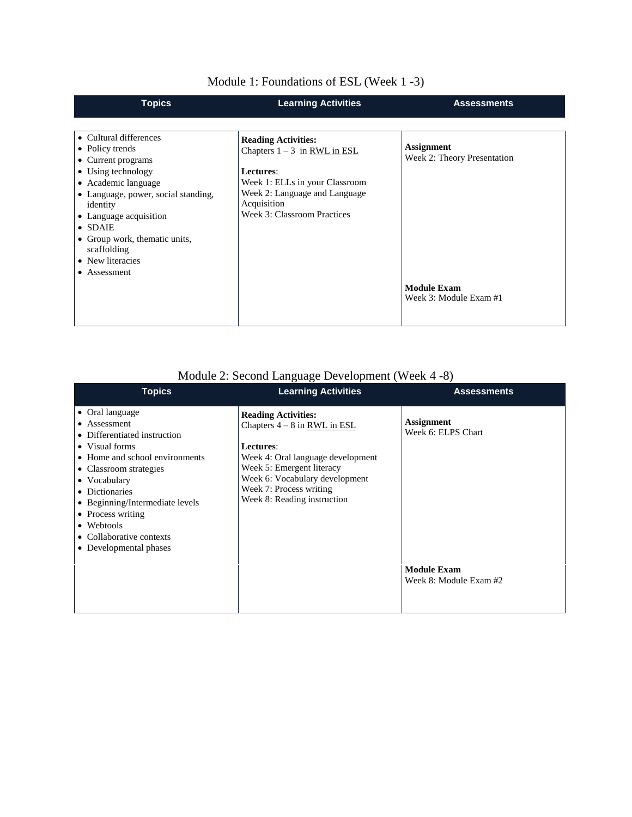| <b>Topics</b>                                                                                                                                                                                                                                                                                               | <b>Learning Activities</b>                                                                                                                                                                 | <b>Assessments</b>                                                                               |
|-------------------------------------------------------------------------------------------------------------------------------------------------------------------------------------------------------------------------------------------------------------------------------------------------------------|--------------------------------------------------------------------------------------------------------------------------------------------------------------------------------------------|--------------------------------------------------------------------------------------------------|
|                                                                                                                                                                                                                                                                                                             |                                                                                                                                                                                            |                                                                                                  |
| • Cultural differences<br>• Policy trends<br>• Current programs<br>• Using technology<br>• Academic language<br>• Language, power, social standing,<br>identity<br>• Language acquisition<br>$\bullet$ SDAIE<br>• Group work, thematic units,<br>scaffolding<br>• New literacies<br>Assessment<br>$\bullet$ | <b>Reading Activities:</b><br>Chapters $1 - 3$ in RWL in ESL<br>Lectures:<br>Week 1: ELLs in your Classroom<br>Week 2: Language and Language<br>Acquisition<br>Week 3: Classroom Practices | <b>Assignment</b><br>Week 2: Theory Presentation<br><b>Module Exam</b><br>Week 3: Module Exam #1 |

# Module 1: Foundations of ESL (Week 1 -3)

# Module 2: Second Language Development (Week 4 -8)

| <b>Topics</b>                                                                                                                                                                                                                                                                                               | <b>Learning Activities</b>                                                                                                                                                                                                              | <b>Assessments</b>                                                                      |
|-------------------------------------------------------------------------------------------------------------------------------------------------------------------------------------------------------------------------------------------------------------------------------------------------------------|-----------------------------------------------------------------------------------------------------------------------------------------------------------------------------------------------------------------------------------------|-----------------------------------------------------------------------------------------|
| • Oral language<br>• Assessment<br>• Differentiated instruction<br>• Visual forms<br>• Home and school environments<br>• Classroom strategies<br>• Vocabulary<br>• Dictionaries<br>• Beginning/Intermediate levels<br>• Process writing<br>• Webtools<br>• Collaborative contexts<br>• Developmental phases | <b>Reading Activities:</b><br>Chapters $4 - 8$ in RWL in ESL<br>Lectures:<br>Week 4: Oral language development<br>Week 5: Emergent literacy<br>Week 6: Vocabulary development<br>Week 7: Process writing<br>Week 8: Reading instruction | <b>Assignment</b><br>Week 6: ELPS Chart<br><b>Module Exam</b><br>Week 8: Module Exam #2 |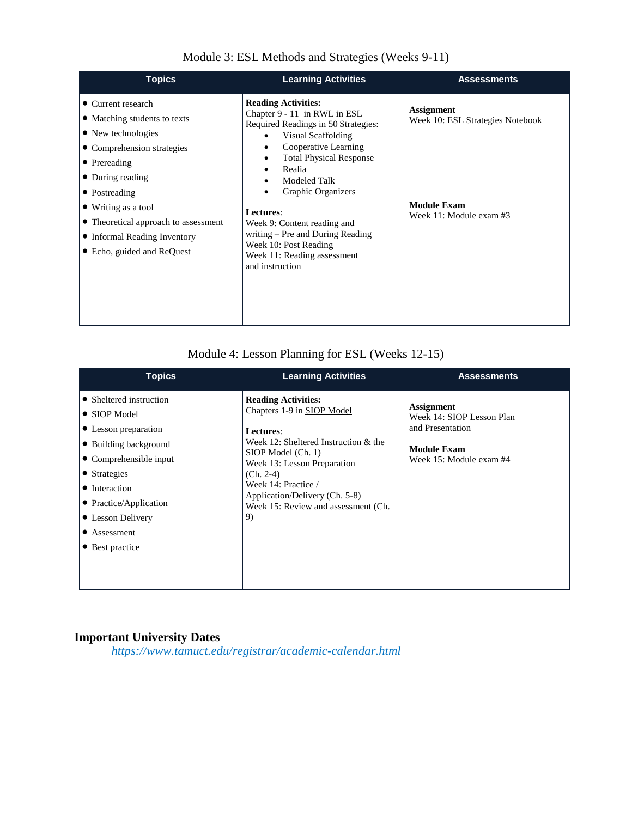| <b>Topics</b>                                                                                                                                                                                                                                                                            | <b>Learning Activities</b>                                                                                                                                                                                                                                                                                                                                                                               | <b>Assessments</b>                                                                                     |
|------------------------------------------------------------------------------------------------------------------------------------------------------------------------------------------------------------------------------------------------------------------------------------------|----------------------------------------------------------------------------------------------------------------------------------------------------------------------------------------------------------------------------------------------------------------------------------------------------------------------------------------------------------------------------------------------------------|--------------------------------------------------------------------------------------------------------|
| • Current research<br>• Matching students to texts<br>• New technologies<br>• Comprehension strategies<br>• Prereading<br>• During reading<br>• Postreading<br>• Writing as a tool<br>• Theoretical approach to assessment<br>• Informal Reading Inventory<br>• Echo, guided and ReQuest | <b>Reading Activities:</b><br>Chapter 9 - 11 in RWL in ESL<br>Required Readings in 50 Strategies:<br>Visual Scaffolding<br>Cooperative Learning<br><b>Total Physical Response</b><br>Realia<br>٠<br><b>Modeled Talk</b><br>Graphic Organizers<br>Lectures:<br>Week 9: Content reading and<br>writing – Pre and During Reading<br>Week 10: Post Reading<br>Week 11: Reading assessment<br>and instruction | <b>Assignment</b><br>Week 10: ESL Strategies Notebook<br><b>Module Exam</b><br>Week 11: Module exam #3 |

## Module 3: ESL Methods and Strategies (Weeks 9-11)

# Module 4: Lesson Planning for ESL (Weeks 12-15)

| <b>Topics</b>                                                                                                                                                                                                                                 | <b>Learning Activities</b>                                                                                                                                                                                                                                                              | <b>Assessments</b>                                                                                           |
|-----------------------------------------------------------------------------------------------------------------------------------------------------------------------------------------------------------------------------------------------|-----------------------------------------------------------------------------------------------------------------------------------------------------------------------------------------------------------------------------------------------------------------------------------------|--------------------------------------------------------------------------------------------------------------|
| • Sheltered instruction<br>$\bullet$ SIOP Model<br>• Lesson preparation<br>• Building background<br>• Comprehensible input<br>• Strategies<br>• Interaction<br>• Practice/Application<br>• Lesson Delivery<br>• Assessment<br>• Best practice | <b>Reading Activities:</b><br>Chapters 1-9 in SIOP Model<br>Lectures:<br>Week 12: Sheltered Instruction & the<br>SIOP Model (Ch. 1)<br>Week 13: Lesson Preparation<br>$(Ch. 2-4)$<br>Week 14: Practice /<br>Application/Delivery (Ch. 5-8)<br>Week 15: Review and assessment (Ch.<br>9) | Assignment<br>Week 14: SIOP Lesson Plan<br>and Presentation<br><b>Module Exam</b><br>Week 15: Module exam #4 |

# **Important University Dates**

*https://www.tamuct.edu/registrar/academic-calendar.html*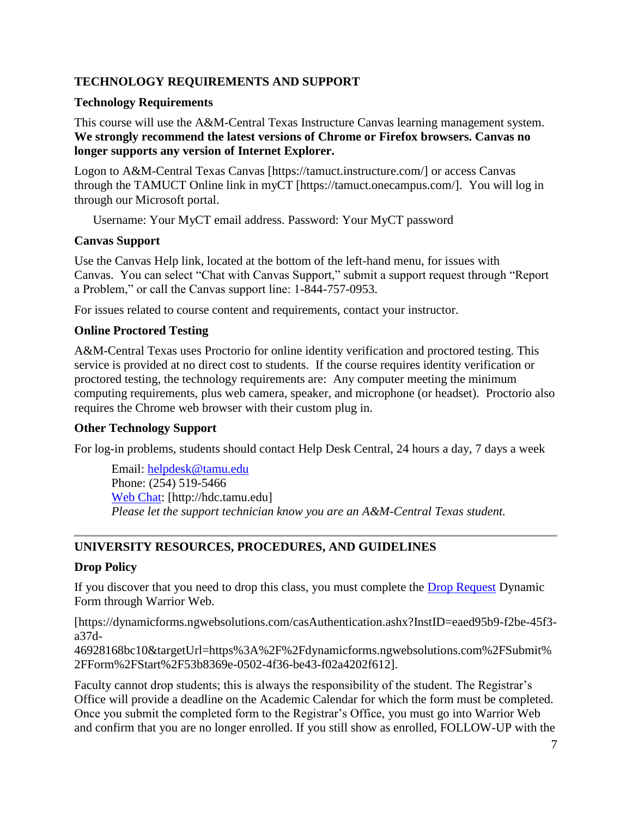## **TECHNOLOGY REQUIREMENTS AND SUPPORT**

### **Technology Requirements**

This course will use the A&M-Central Texas Instructure Canvas learning management system. **We strongly recommend the latest versions of Chrome or Firefox browsers. Canvas no longer supports any version of Internet Explorer.**

Logon to A&M-Central Texas Canvas [https://tamuct.instructure.com/] or access Canvas through the TAMUCT Online link in myCT [https://tamuct.onecampus.com/]. You will log in through our Microsoft portal.

Username: Your MyCT email address. Password: Your MyCT password

### **Canvas Support**

Use the Canvas Help link, located at the bottom of the left-hand menu, for issues with Canvas. You can select "Chat with Canvas Support," submit a support request through "Report a Problem," or call the Canvas support line: 1-844-757-0953.

For issues related to course content and requirements, contact your instructor.

## **Online Proctored Testing**

A&M-Central Texas uses Proctorio for online identity verification and proctored testing. This service is provided at no direct cost to students. If the course requires identity verification or proctored testing, the technology requirements are: Any computer meeting the minimum computing requirements, plus web camera, speaker, and microphone (or headset). Proctorio also requires the Chrome web browser with their custom plug in.

### **Other Technology Support**

For log-in problems, students should contact Help Desk Central, 24 hours a day, 7 days a week

Email: [helpdesk@tamu.edu](mailto:helpdesk@tamu.edu) Phone: (254) 519-5466 [Web Chat:](http://hdc.tamu.edu/) [http://hdc.tamu.edu] *Please let the support technician know you are an A&M-Central Texas student.*

# **UNIVERSITY RESOURCES, PROCEDURES, AND GUIDELINES**

### **Drop Policy**

If you discover that you need to drop this class, you must complete the [Drop Request](https://dynamicforms.ngwebsolutions.com/casAuthentication.ashx?InstID=eaed95b9-f2be-45f3-a37d-46928168bc10&targetUrl=https%3A%2F%2Fdynamicforms.ngwebsolutions.com%2FSubmit%2FForm%2FStart%2F53b8369e-0502-4f36-be43-f02a4202f612) Dynamic Form through Warrior Web.

[https://dynamicforms.ngwebsolutions.com/casAuthentication.ashx?InstID=eaed95b9-f2be-45f3 a37d-

46928168bc10&targetUrl=https%3A%2F%2Fdynamicforms.ngwebsolutions.com%2FSubmit% 2FForm%2FStart%2F53b8369e-0502-4f36-be43-f02a4202f612].

Faculty cannot drop students; this is always the responsibility of the student. The Registrar's Office will provide a deadline on the Academic Calendar for which the form must be completed. Once you submit the completed form to the Registrar's Office, you must go into Warrior Web and confirm that you are no longer enrolled. If you still show as enrolled, FOLLOW-UP with the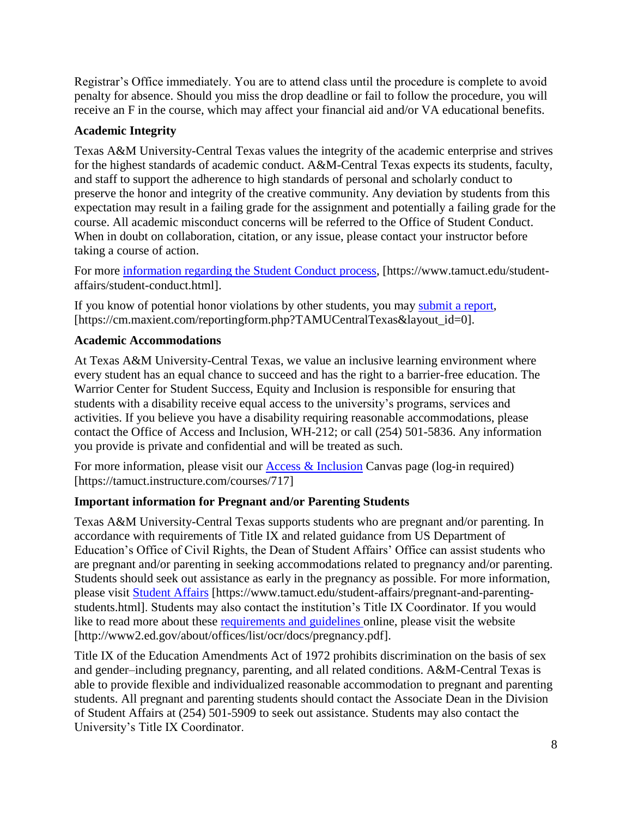Registrar's Office immediately. You are to attend class until the procedure is complete to avoid penalty for absence. Should you miss the drop deadline or fail to follow the procedure, you will receive an F in the course, which may affect your financial aid and/or VA educational benefits.

## **Academic Integrity**

Texas A&M University-Central Texas values the integrity of the academic enterprise and strives for the highest standards of academic conduct. A&M-Central Texas expects its students, faculty, and staff to support the adherence to high standards of personal and scholarly conduct to preserve the honor and integrity of the creative community. Any deviation by students from this expectation may result in a failing grade for the assignment and potentially a failing grade for the course. All academic misconduct concerns will be referred to the Office of Student Conduct. When in doubt on collaboration, citation, or any issue, please contact your instructor before taking a course of action.

For more [information](https://nam04.safelinks.protection.outlook.com/?url=https%3A%2F%2Fwww.tamuct.edu%2Fstudent-affairs%2Fstudent-conduct.html&data=04%7C01%7Clisa.bunkowski%40tamuct.edu%7Ccfb6e486f24745f53e1a08d910055cb2%7C9eed4e3000f744849ff193ad8005acec%7C0%7C0%7C637558437485252160%7CUnknown%7CTWFpbGZsb3d8eyJWIjoiMC4wLjAwMDAiLCJQIjoiV2luMzIiLCJBTiI6Ik1haWwiLCJXVCI6Mn0%3D%7C1000&sdata=yjftDEVHvLX%2FhM%2FcFU0B99krV1RgEWR%2BJ%2BhvtoR6TYk%3D&reserved=0) regarding the Student Conduct process, [https://www.tamuct.edu/studentaffairs/student-conduct.html].

If you know of potential honor violations by other students, you may [submit](https://nam04.safelinks.protection.outlook.com/?url=https%3A%2F%2Fcm.maxient.com%2Freportingform.php%3FTAMUCentralTexas%26layout_id%3D0&data=04%7C01%7Clisa.bunkowski%40tamuct.edu%7Ccfb6e486f24745f53e1a08d910055cb2%7C9eed4e3000f744849ff193ad8005acec%7C0%7C0%7C637558437485262157%7CUnknown%7CTWFpbGZsb3d8eyJWIjoiMC4wLjAwMDAiLCJQIjoiV2luMzIiLCJBTiI6Ik1haWwiLCJXVCI6Mn0%3D%7C1000&sdata=CXGkOa6uPDPX1IMZ87z3aZDq2n91xfHKu4MMS43Ejjk%3D&reserved=0) a report, [https://cm.maxient.com/reportingform.php?TAMUCentralTexas&layout\_id=0].

# **Academic Accommodations**

At Texas A&M University-Central Texas, we value an inclusive learning environment where every student has an equal chance to succeed and has the right to a barrier-free education. The Warrior Center for Student Success, Equity and Inclusion is responsible for ensuring that students with a disability receive equal access to the university's programs, services and activities. If you believe you have a disability requiring reasonable accommodations, please contact the Office of Access and Inclusion, WH-212; or call (254) 501-5836. Any information you provide is private and confidential and will be treated as such.

For more information, please visit our Access  $\&$  Inclusion Canvas page (log-in required) [https://tamuct.instructure.com/courses/717]

# **Important information for Pregnant and/or Parenting Students**

Texas A&M University-Central Texas supports students who are pregnant and/or parenting. In accordance with requirements of Title IX and related guidance from US Department of Education's Office of Civil Rights, the Dean of Student Affairs' Office can assist students who are pregnant and/or parenting in seeking accommodations related to pregnancy and/or parenting. Students should seek out assistance as early in the pregnancy as possible. For more information, please visit [Student Affairs](https://www.tamuct.edu/student-affairs/pregnant-and-parenting-students.html) [https://www.tamuct.edu/student-affairs/pregnant-and-parentingstudents.html]. Students may also contact the institution's Title IX Coordinator. If you would like to read more about these [requirements and guidelines](http://www2.ed.gov/about/offices/list/ocr/docs/pregnancy.pdf) online, please visit the website [http://www2.ed.gov/about/offices/list/ocr/docs/pregnancy.pdf].

Title IX of the Education Amendments Act of 1972 prohibits discrimination on the basis of sex and gender–including pregnancy, parenting, and all related conditions. A&M-Central Texas is able to provide flexible and individualized reasonable accommodation to pregnant and parenting students. All pregnant and parenting students should contact the Associate Dean in the Division of Student Affairs at (254) 501-5909 to seek out assistance. Students may also contact the University's Title IX Coordinator.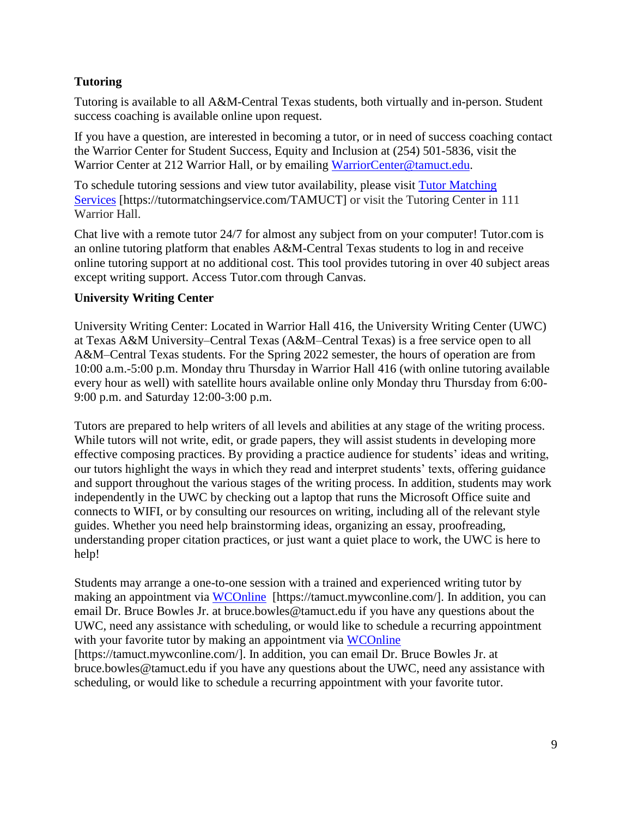## **Tutoring**

Tutoring is available to all A&M-Central Texas students, both virtually and in-person. Student success coaching is available online upon request.

If you have a question, are interested in becoming a tutor, or in need of success coaching contact the Warrior Center for Student Success, Equity and Inclusion at (254) 501-5836, visit the Warrior Center at 212 Warrior Hall, or by emailing [WarriorCenter@tamuct.edu.](mailto:WarriorCenter@tamuct.edu)

To schedule tutoring sessions and view tutor availability, please visit Tutor [Matching](https://tutormatchingservice.com/TAMUCT) [Services](https://tutormatchingservice.com/TAMUCT) [https://tutormatchingservice.com/TAMUCT] or visit the Tutoring Center in 111 Warrior Hall.

Chat live with a remote tutor 24/7 for almost any subject from on your computer! Tutor.com is an online tutoring platform that enables A&M-Central Texas students to log in and receive online tutoring support at no additional cost. This tool provides tutoring in over 40 subject areas except writing support. Access Tutor.com through Canvas.

### **University Writing Center**

University Writing Center: Located in Warrior Hall 416, the University Writing Center (UWC) at Texas A&M University–Central Texas (A&M–Central Texas) is a free service open to all A&M–Central Texas students. For the Spring 2022 semester, the hours of operation are from 10:00 a.m.-5:00 p.m. Monday thru Thursday in Warrior Hall 416 (with online tutoring available every hour as well) with satellite hours available online only Monday thru Thursday from 6:00- 9:00 p.m. and Saturday 12:00-3:00 p.m.

Tutors are prepared to help writers of all levels and abilities at any stage of the writing process. While tutors will not write, edit, or grade papers, they will assist students in developing more effective composing practices. By providing a practice audience for students' ideas and writing, our tutors highlight the ways in which they read and interpret students' texts, offering guidance and support throughout the various stages of the writing process. In addition, students may work independently in the UWC by checking out a laptop that runs the Microsoft Office suite and connects to WIFI, or by consulting our resources on writing, including all of the relevant style guides. Whether you need help brainstorming ideas, organizing an essay, proofreading, understanding proper citation practices, or just want a quiet place to work, the UWC is here to help!

Students may arrange a one-to-one session with a trained and experienced writing tutor by making an appointment via [WCOnline](https://tamuct.mywconline.com/) [https://tamuct.mywconline.com/]. In addition, you can email Dr. Bruce Bowles Jr. at bruce.bowles@tamuct.edu if you have any questions about the UWC, need any assistance with scheduling, or would like to schedule a recurring appointment with your favorite tutor by making an appointment via [WCOnline](https://tamuct.mywconline.com/) [https://tamuct.mywconline.com/]. In addition, you can email Dr. Bruce Bowles Jr. at bruce.bowles@tamuct.edu if you have any questions about the UWC, need any assistance with scheduling, or would like to schedule a recurring appointment with your favorite tutor.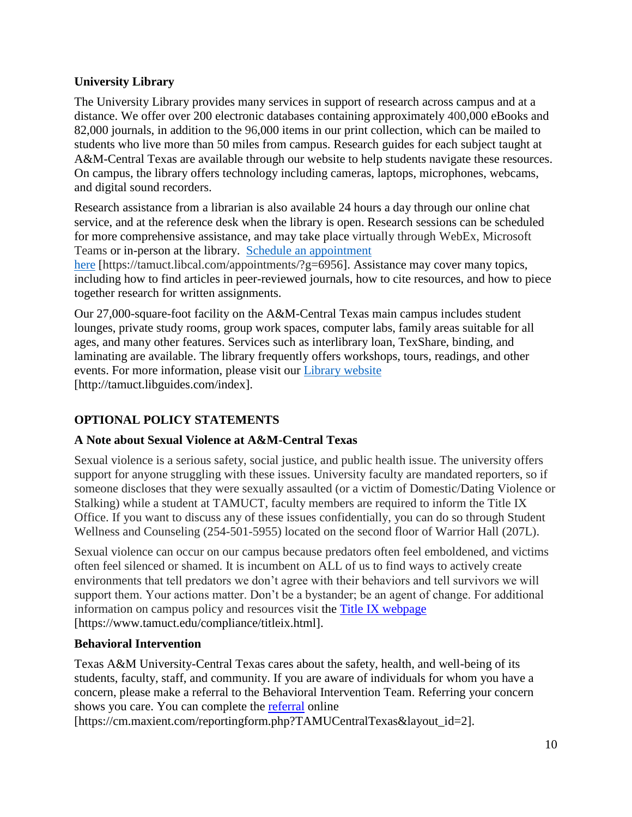## **University Library**

The University Library provides many services in support of research across campus and at a distance. We offer over 200 electronic databases containing approximately 400,000 eBooks and 82,000 journals, in addition to the 96,000 items in our print collection, which can be mailed to students who live more than 50 miles from campus. Research guides for each subject taught at A&M-Central Texas are available through our website to help students navigate these resources. On campus, the library offers technology including cameras, laptops, microphones, webcams, and digital sound recorders.

Research assistance from a librarian is also available 24 hours a day through our online chat service, and at the reference desk when the library is open. Research sessions can be scheduled for more comprehensive assistance, and may take place virtually through WebEx, Microsoft Teams or in-person at the library. Schedule an [appointment](https://nam04.safelinks.protection.outlook.com/?url=https%3A%2F%2Ftamuct.libcal.com%2Fappointments%2F%3Fg%3D6956&data=04%7C01%7Clisa.bunkowski%40tamuct.edu%7Cde2c07d9f5804f09518008d9ab7ba6ff%7C9eed4e3000f744849ff193ad8005acec%7C0%7C0%7C637729369835011558%7CUnknown%7CTWFpbGZsb3d8eyJWIjoiMC4wLjAwMDAiLCJQIjoiV2luMzIiLCJBTiI6Ik1haWwiLCJXVCI6Mn0%3D%7C3000&sdata=KhtjgRSAw9aq%2FoBsB6wyu8b7PSuGN5EGPypzr3Ty2No%3D&reserved=0)

[here](https://nam04.safelinks.protection.outlook.com/?url=https%3A%2F%2Ftamuct.libcal.com%2Fappointments%2F%3Fg%3D6956&data=04%7C01%7Clisa.bunkowski%40tamuct.edu%7Cde2c07d9f5804f09518008d9ab7ba6ff%7C9eed4e3000f744849ff193ad8005acec%7C0%7C0%7C637729369835011558%7CUnknown%7CTWFpbGZsb3d8eyJWIjoiMC4wLjAwMDAiLCJQIjoiV2luMzIiLCJBTiI6Ik1haWwiLCJXVCI6Mn0%3D%7C3000&sdata=KhtjgRSAw9aq%2FoBsB6wyu8b7PSuGN5EGPypzr3Ty2No%3D&reserved=0) [https://tamuct.libcal.com/appointments/?g=6956]. Assistance may cover many topics, including how to find articles in peer-reviewed journals, how to cite resources, and how to piece together research for written assignments.

Our 27,000-square-foot facility on the A&M-Central Texas main campus includes student lounges, private study rooms, group work spaces, computer labs, family areas suitable for all ages, and many other features. Services such as interlibrary loan, TexShare, binding, and laminating are available. The library frequently offers workshops, tours, readings, and other events. For more information, please visit our Library [website](https://nam04.safelinks.protection.outlook.com/?url=https%3A%2F%2Ftamuct.libguides.com%2Findex&data=04%7C01%7Clisa.bunkowski%40tamuct.edu%7C7d8489e8839a4915335f08d916f067f2%7C9eed4e3000f744849ff193ad8005acec%7C0%7C0%7C637566044056484222%7CUnknown%7CTWFpbGZsb3d8eyJWIjoiMC4wLjAwMDAiLCJQIjoiV2luMzIiLCJBTiI6Ik1haWwiLCJXVCI6Mn0%3D%7C1000&sdata=2R755V6rcIyedGrd4Os5rkgn1PvhHKU3kUV1vBKiHFo%3D&reserved=0) [http://tamuct.libguides.com/index].

# **OPTIONAL POLICY STATEMENTS**

# **A Note about Sexual Violence at A&M-Central Texas**

Sexual violence is a serious safety, social justice, and public health issue. The university offers support for anyone struggling with these issues. University faculty are mandated reporters, so if someone discloses that they were sexually assaulted (or a victim of Domestic/Dating Violence or Stalking) while a student at TAMUCT, faculty members are required to inform the Title IX Office. If you want to discuss any of these issues confidentially, you can do so through Student Wellness and Counseling (254-501-5955) located on the second floor of Warrior Hall (207L).

Sexual violence can occur on our campus because predators often feel emboldened, and victims often feel silenced or shamed. It is incumbent on ALL of us to find ways to actively create environments that tell predators we don't agree with their behaviors and tell survivors we will support them. Your actions matter. Don't be a bystander; be an agent of change. For additional information on campus policy and resources visit the [Title IX webpage](https://www.tamuct.edu/compliance/titleix.html) [\[https://www.tamuct.edu/compliance/titleix.html\]](https://www.tamuct.edu/compliance/titleix.html).

### **Behavioral Intervention**

Texas A&M University-Central Texas cares about the safety, health, and well-being of its students, faculty, staff, and community. If you are aware of individuals for whom you have a concern, please make a referral to the Behavioral Intervention Team. Referring your concern shows you care. You can complete the [referral](https://cm.maxient.com/reportingform.php?TAMUCentralTexas&layout_id=2) online

[https://cm.maxient.com/reportingform.php?TAMUCentralTexas&layout\_id=2].